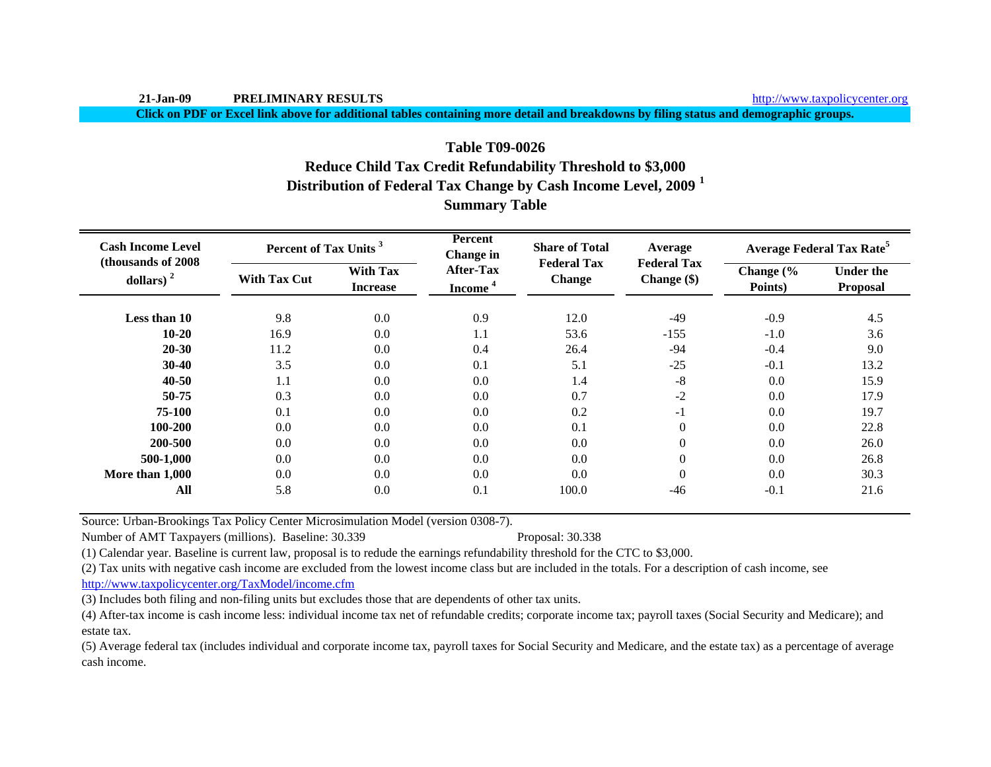**Click on PDF or Excel link above for additional tables containing more detail and breakdowns by filing status and demographic groups.**

# **Distribution of Federal Tax Change by Cash Income Level, 2009 <sup>1</sup> Summary Table Table T09-0026Reduce Child Tax Credit Refundability Threshold to \$3,000**

| <b>Cash Income Level</b><br>(thousands of 2008) | Percent of Tax Units <sup>3</sup> |                                    | <b>Percent</b><br><b>Change</b> in      | <b>Share of Total</b><br><b>Federal Tax</b> | Average                             |                      | <b>Average Federal Tax Rate<sup>5</sup></b> |
|-------------------------------------------------|-----------------------------------|------------------------------------|-----------------------------------------|---------------------------------------------|-------------------------------------|----------------------|---------------------------------------------|
| dollars) $2$                                    | <b>With Tax Cut</b>               | <b>With Tax</b><br><b>Increase</b> | <b>After-Tax</b><br>Income <sup>4</sup> | <b>Change</b>                               | <b>Federal Tax</b><br>Change $(\$)$ | Change (%<br>Points) | <b>Under the</b><br>Proposal                |
| Less than 10                                    | 9.8                               | $0.0\,$                            | 0.9                                     | 12.0                                        | $-49$                               | $-0.9$               | 4.5                                         |
| $10 - 20$                                       | 16.9                              | $0.0\,$                            | 1.1                                     | 53.6                                        | $-155$                              | $-1.0$               | 3.6                                         |
| $20 - 30$                                       | 11.2                              | 0.0                                | 0.4                                     | 26.4                                        | $-94$                               | $-0.4$               | 9.0                                         |
| $30-40$                                         | 3.5                               | 0.0                                | 0.1                                     | 5.1                                         | $-25$                               | $-0.1$               | 13.2                                        |
| $40 - 50$                                       | 1.1                               | 0.0                                | 0.0                                     | 1.4                                         | $-8$                                | 0.0                  | 15.9                                        |
| 50-75                                           | 0.3                               | 0.0                                | 0.0                                     | 0.7                                         | $-2$                                | 0.0                  | 17.9                                        |
| 75-100                                          | 0.1                               | 0.0                                | 0.0                                     | 0.2                                         | - 1                                 | 0.0                  | 19.7                                        |
| 100-200                                         | 0.0                               | 0.0                                | 0.0                                     | 0.1                                         | $\boldsymbol{0}$                    | 0.0                  | 22.8                                        |
| 200-500                                         | 0.0                               | 0.0                                | 0.0                                     | 0.0                                         | $\boldsymbol{0}$                    | 0.0                  | 26.0                                        |
| 500-1,000                                       | 0.0                               | 0.0                                | 0.0                                     | 0.0                                         | $\boldsymbol{0}$                    | 0.0                  | 26.8                                        |
| More than 1,000                                 | 0.0                               | 0.0                                | 0.0                                     | 0.0                                         | $\mathbf{0}$                        | 0.0                  | 30.3                                        |
| All                                             | 5.8                               | 0.0                                | 0.1                                     | 100.0                                       | $-46$                               | $-0.1$               | 21.6                                        |

Source: Urban-Brookings Tax Policy Center Microsimulation Model (version 0308-7).

Number of AMT Taxpayers (millions). Baseline: 30.339 Proposal: 30.338

(1) Calendar year. Baseline is current law, proposal is to redude the earnings refundability threshold for the CTC to \$3,000.

(2) Tax units with negative cash income are excluded from the lowest income class but are included in the totals. For a description of cash income, see

http://www.taxpolicycenter.org/TaxModel/income.cfm

(3) Includes both filing and non-filing units but excludes those that are dependents of other tax units.

(4) After-tax income is cash income less: individual income tax net of refundable credits; corporate income tax; payroll taxes (Social Security and Medicare); and estate tax.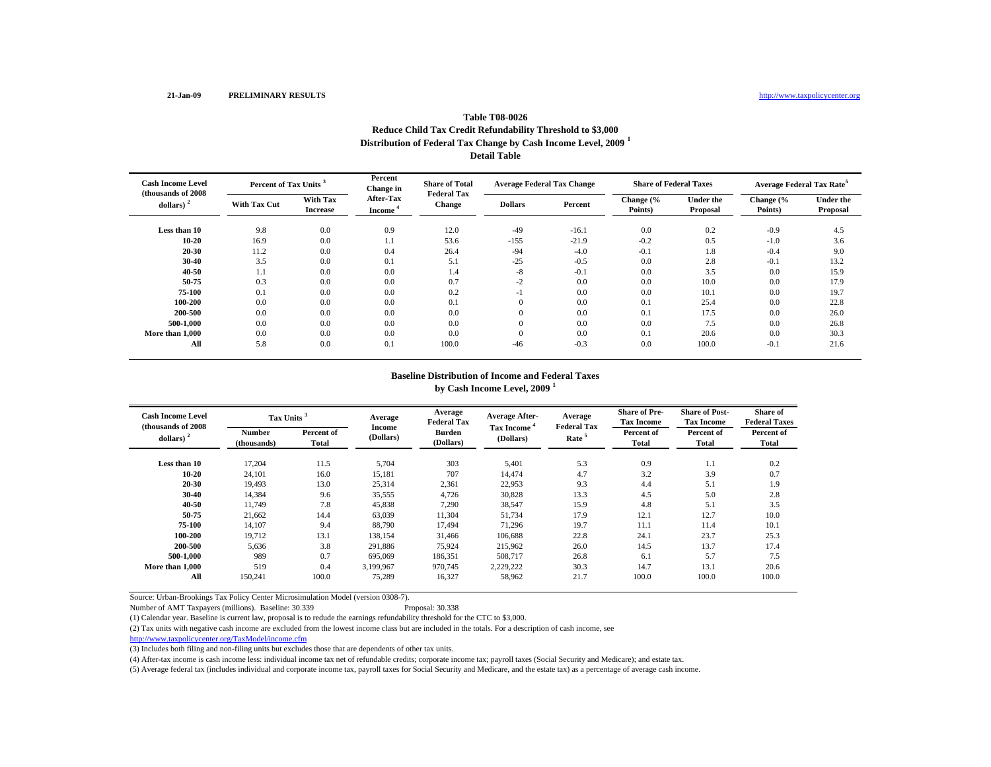### **Table T08-0026Reduce Child Tax Credit Refundability Threshold to \$3,000 Distribution of Federal Tax Change by Cash Income Level, 2009 <sup>1</sup> Detail Table**

| <b>Cash Income Level</b><br>(thousands of 2008) | Percent of Tax Units <sup>3</sup> |                                    | Percent<br>Change in       | <b>Share of Total</b><br><b>Federal Tax</b> | <b>Average Federal Tax Change</b> |         | <b>Share of Federal Taxes</b> |                              | <b>Average Federal Tax Rate<sup>5</sup></b> |                              |
|-------------------------------------------------|-----------------------------------|------------------------------------|----------------------------|---------------------------------------------|-----------------------------------|---------|-------------------------------|------------------------------|---------------------------------------------|------------------------------|
| dollars)                                        | <b>With Tax Cut</b>               | <b>With Tax</b><br><b>Increase</b> | After-Tax<br><b>Income</b> | Change                                      | <b>Dollars</b>                    | Percent | Change (%<br>Points)          | <b>Under the</b><br>Proposal | Change (%<br>Points)                        | <b>Under the</b><br>Proposal |
| Less than 10                                    | 9.8                               | 0.0                                | 0.9                        | 12.0                                        | $-49$                             | $-16.1$ | 0.0                           | 0.2                          | $-0.9$                                      | 4.5                          |
| $10 - 20$                                       | 16.9                              | 0.0                                | 1.1                        | 53.6                                        | $-155$                            | $-21.9$ | $-0.2$                        | 0.5                          | $-1.0$                                      | 3.6                          |
| 20-30                                           | 11.2                              | 0.0                                | 0.4                        | 26.4                                        | $-94$                             | $-4.0$  | $-0.1$                        | 1.8                          | $-0.4$                                      | 9.0                          |
| 30-40                                           | 3.5                               | 0.0                                | 0.1                        | 5.1                                         | $-25$                             | $-0.5$  | 0.0                           | 2.8                          | $-0.1$                                      | 13.2                         |
| 40-50                                           | 1.1                               | 0.0                                | 0.0                        | 1.4                                         | $-8$                              | $-0.1$  | 0.0                           | 3.5                          | 0.0                                         | 15.9                         |
| 50-75                                           | 0.3                               | 0.0                                | 0.0                        | 0.7                                         | $-2$                              | 0.0     | 0.0                           | 10.0                         | 0.0                                         | 17.9                         |
| 75-100                                          | 0.1                               | 0.0                                | 0.0                        | 0.2                                         | -1                                | 0.0     | 0.0                           | 10.1                         | 0.0                                         | 19.7                         |
| 100-200                                         | 0.0                               | 0.0                                | 0.0                        | 0.1                                         | $\overline{0}$                    | 0.0     | 0.1                           | 25.4                         | 0.0                                         | 22.8                         |
| 200-500                                         | 0.0                               | 0.0                                | 0.0                        | 0.0                                         | $\overline{0}$                    | 0.0     | 0.1                           | 17.5                         | 0.0                                         | 26.0                         |
| 500-1.000                                       | 0.0                               | 0.0                                | 0.0                        | 0.0                                         | $\theta$                          | 0.0     | 0.0                           | 7.5                          | 0.0                                         | 26.8                         |
| More than 1,000                                 | 0.0                               | 0.0                                | 0.0                        | 0.0                                         | $\mathbf{0}$                      | 0.0     | 0.1                           | 20.6                         | 0.0                                         | 30.3                         |
| All                                             | 5.8                               | 0.0                                | 0.1                        | 100.0                                       | $-46$                             | $-0.3$  | 0.0                           | 100.0                        | $-0.1$                                      | 21.6                         |

#### **Baseline Distribution of Income and Federal Taxes by Cash Income Level, 2009 <sup>1</sup>**

| <b>Cash Income Level</b><br>(thousands of 2008) |                       | Tax Units <sup>3</sup> |                     | Average<br><b>Federal Tax</b> | <b>Average After-</b>                | Average<br><b>Federal Tax</b> | <b>Share of Pre-</b><br><b>Tax Income</b> | <b>Share of Post-</b><br><b>Tax Income</b> | Share of<br><b>Federal Taxes</b> |
|-------------------------------------------------|-----------------------|------------------------|---------------------|-------------------------------|--------------------------------------|-------------------------------|-------------------------------------------|--------------------------------------------|----------------------------------|
| dollars) $2$                                    | Number<br>(thousands) | Percent of<br>Total    | Income<br>(Dollars) | <b>Burden</b><br>(Dollars)    | Tax Income <sup>4</sup><br>(Dollars) | Rate <sup>5</sup>             | Percent of<br>Total                       | Percent of<br>Total                        | Percent of<br><b>Total</b>       |
| Less than 10                                    | 17,204                | 11.5                   | 5,704               | 303                           | 5,401                                | 5.3                           | 0.9                                       | 1.1                                        | 0.2                              |
| $10 - 20$                                       | 24,101                | 16.0                   | 15,181              | 707                           | 14.474                               | 4.7                           | 3.2                                       | 3.9                                        | 0.7                              |
| 20-30                                           | 19,493                | 13.0                   | 25,314              | 2,361                         | 22,953                               | 9.3                           | 4.4                                       | 5.1                                        | 1.9                              |
| 30-40                                           | 14,384                | 9.6                    | 35,555              | 4,726                         | 30,828                               | 13.3                          | 4.5                                       | 5.0                                        | 2.8                              |
| 40-50                                           | 11,749                | 7.8                    | 45,838              | 7,290                         | 38,547                               | 15.9                          | 4.8                                       | 5.1                                        | 3.5                              |
| 50-75                                           | 21,662                | 14.4                   | 63,039              | 11,304                        | 51,734                               | 17.9                          | 12.1                                      | 12.7                                       | 10.0                             |
| 75-100                                          | 14.107                | 9.4                    | 88,790              | 17.494                        | 71.296                               | 19.7                          | 11.1                                      | 11.4                                       | 10.1                             |
| 100-200                                         | 19.712                | 13.1                   | 138,154             | 31.466                        | 106.688                              | 22.8                          | 24.1                                      | 23.7                                       | 25.3                             |
| 200-500                                         | 5,636                 | 3.8                    | 291,886             | 75.924                        | 215.962                              | 26.0                          | 14.5                                      | 13.7                                       | 17.4                             |
| 500-1.000                                       | 989                   | 0.7                    | 695,069             | 186,351                       | 508,717                              | 26.8                          | 6.1                                       | 5.7                                        | 7.5                              |
| More than 1.000                                 | 519                   | 0.4                    | 3,199,967           | 970,745                       | 2,229,222                            | 30.3                          | 14.7                                      | 13.1                                       | 20.6                             |
| All                                             | 150,241               | 100.0                  | 75,289              | 16,327                        | 58,962                               | 21.7                          | 100.0                                     | 100.0                                      | 100.0                            |

Source: Urban-Brookings Tax Policy Center Microsimulation Model (version 0308-7).

Number of AMT Taxpayers (millions). Baseline: 30.339 Proposal: 30.338

(1) Calendar year. Baseline is current law, proposal is to redude the earnings refundability threshold for the CTC to \$3,000.

(2) Tax units with negative cash income are excluded from the lowest income class but are included in the totals. For a description of cash income, see

http://www.taxpolicycenter.org/TaxModel/income.cfm

(3) Includes both filing and non-filing units but excludes those that are dependents of other tax units.

(4) After-tax income is cash income less: individual income tax net of refundable credits; corporate income tax; payroll taxes (Social Security and Medicare); and estate tax.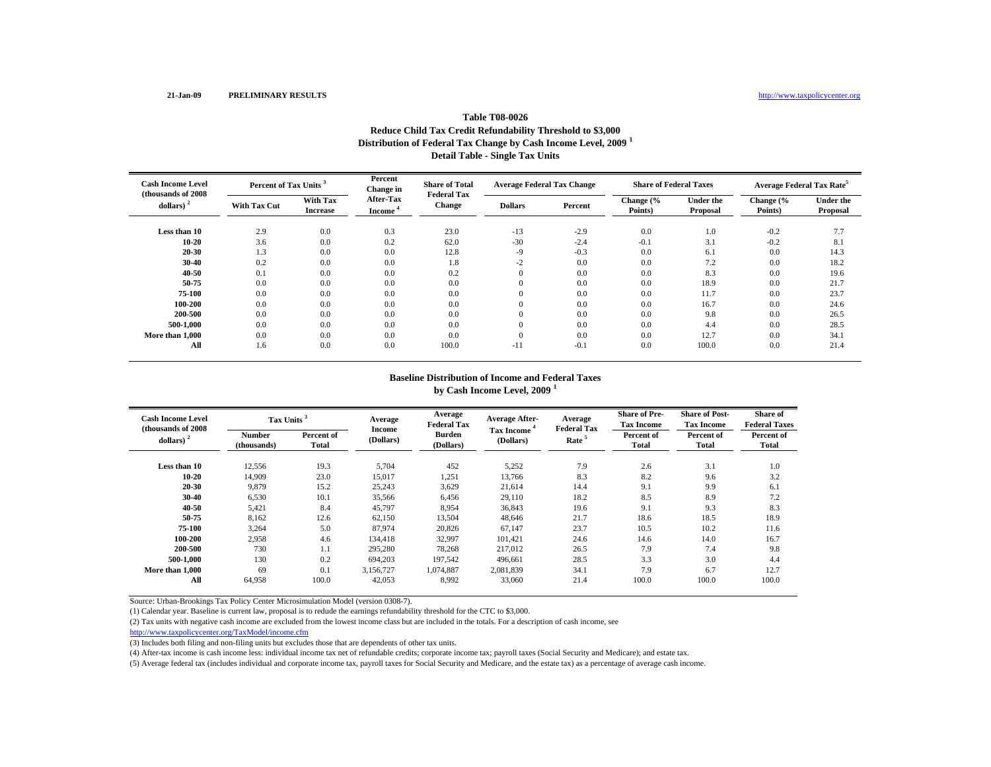## **Table T08-0026Reduce Child Tax Credit Refundability Threshold to \$3,000 Distribution of Federal Tax Change by Cash Income Level, 2009 <sup>1</sup> Detail Table - Single Tax Units**

| <b>Cash Income Level</b><br>(thousands of 2008) | Percent of Tax Units <sup>3</sup> |                                    | Percent<br>Change in              | <b>Share of Total</b><br><b>Federal Tax</b> | <b>Average Federal Tax Change</b> |         | <b>Share of Federal Taxes</b> |                              | Average Federal Tax Rate <sup>5</sup> |                              |
|-------------------------------------------------|-----------------------------------|------------------------------------|-----------------------------------|---------------------------------------------|-----------------------------------|---------|-------------------------------|------------------------------|---------------------------------------|------------------------------|
| dollars) $2$                                    | <b>With Tax Cut</b>               | <b>With Tax</b><br><b>Increase</b> | <b>After-Tax</b><br><b>Income</b> | <b>Change</b>                               | <b>Dollars</b>                    | Percent | Change (%<br>Points)          | <b>Under the</b><br>Proposal | Change (%<br>Points)                  | <b>Under the</b><br>Proposal |
| Less than 10                                    | 2.9                               | 0.0                                | 0.3                               | 23.0                                        | $-13$                             | $-2.9$  | 0.0                           | 1.0                          | $-0.2$                                | 7.7                          |
| $10 - 20$                                       | 3.6                               | 0.0                                | 0.2                               | 62.0                                        | $-30$                             | $-2.4$  | $-0.1$                        | 3.1                          | $-0.2$                                | 8.1                          |
| 20-30                                           | 1.3                               | 0.0                                | 0.0                               | 12.8                                        | $-9$                              | $-0.3$  | 0.0                           | 6.1                          | 0.0                                   | 14.3                         |
| $30 - 40$                                       | 0.2                               | 0.0                                | 0.0                               | 1.8                                         | $-2$                              | 0.0     | 0.0                           | 7.2                          | 0.0                                   | 18.2                         |
| 40-50                                           | 0.1                               | 0.0                                | 0.0                               | 0.2                                         | $\theta$                          | 0.0     | 0.0                           | 8.3                          | 0.0                                   | 19.6                         |
| 50-75                                           | 0.0                               | 0.0                                | 0.0                               | 0.0                                         | $\theta$                          | 0.0     | 0.0                           | 18.9                         | 0.0                                   | 21.7                         |
| 75-100                                          | 0.0                               | 0.0                                | 0.0                               | 0.0                                         | $\overline{0}$                    | 0.0     | 0.0                           | 11.7                         | 0.0                                   | 23.7                         |
| 100-200                                         | 0.0                               | 0.0                                | 0.0                               | 0.0                                         | $\theta$                          | 0.0     | 0.0                           | 16.7                         | 0.0                                   | 24.6                         |
| 200-500                                         | 0.0                               | 0.0                                | 0.0                               | 0.0                                         | $\theta$                          | 0.0     | 0.0                           | 9.8                          | 0.0                                   | 26.5                         |
| 500-1.000                                       | 0.0                               | 0.0                                | 0.0                               | 0.0                                         | $\theta$                          | 0.0     | 0.0                           | 4.4                          | 0.0                                   | 28.5                         |
| More than 1,000                                 | 0.0                               | 0.0                                | 0.0                               | 0.0                                         | $\theta$                          | 0.0     | 0.0                           | 12.7                         | 0.0                                   | 34.1                         |
| All                                             | 1.6                               | 0.0                                | 0.0                               | 100.0                                       | $-11$                             | $-0.1$  | 0.0                           | 100.0                        | 0.0                                   | 21.4                         |

## **Baseline Distribution of Income and Federal Taxes**

**by Cash Income Level, 2009 <sup>1</sup>**

| <b>Cash Income Level</b><br>(thousands of 2008) | Tax Units <sup>3</sup> |                     | Average             | Average<br><b>Federal Tax</b> | <b>Average After-</b>   | Average<br><b>Federal Tax</b> | <b>Share of Pre-</b><br><b>Tax Income</b> | <b>Share of Post-</b><br><b>Tax Income</b> | Share of<br><b>Federal Taxes</b> |
|-------------------------------------------------|------------------------|---------------------|---------------------|-------------------------------|-------------------------|-------------------------------|-------------------------------------------|--------------------------------------------|----------------------------------|
| dollars) $2$                                    | Number<br>(thousands)  | Percent of<br>Total | Income<br>(Dollars) | <b>Burden</b><br>(Dollars)    | Tax Income<br>(Dollars) | Rate <sup>5</sup>             | Percent of<br>Total                       | Percent of<br>Total                        | Percent of<br>Total              |
| Less than 10                                    | 12,556                 | 19.3                | 5,704               | 452                           | 5,252                   | 7.9                           | 2.6                                       | 3.1                                        | 1.0                              |
| $10 - 20$                                       | 14,909                 | 23.0                | 15,017              | 1,251                         | 13,766                  | 8.3                           | 8.2                                       | 9.6                                        | 3.2                              |
| 20-30                                           | 9,879                  | 15.2                | 25,243              | 3,629                         | 21,614                  | 14.4                          | 9.1                                       | 9.9                                        | 6.1                              |
| $30 - 40$                                       | 6,530                  | 10.1                | 35,566              | 6,456                         | 29,110                  | 18.2                          | 8.5                                       | 8.9                                        | 7.2                              |
| 40-50                                           | 5,421                  | 8.4                 | 45,797              | 8,954                         | 36,843                  | 19.6                          | 9.1                                       | 9.3                                        | 8.3                              |
| 50-75                                           | 8,162                  | 12.6                | 62,150              | 13,504                        | 48,646                  | 21.7                          | 18.6                                      | 18.5                                       | 18.9                             |
| 75-100                                          | 3,264                  | 5.0                 | 87,974              | 20,826                        | 67,147                  | 23.7                          | 10.5                                      | 10.2                                       | 11.6                             |
| 100-200                                         | 2.958                  | 4.6                 | 134,418             | 32.997                        | 101.421                 | 24.6                          | 14.6                                      | 14.0                                       | 16.7                             |
| 200-500                                         | 730                    | 1.1                 | 295,280             | 78,268                        | 217.012                 | 26.5                          | 7.9                                       | 7.4                                        | 9.8                              |
| 500-1.000                                       | 130                    | 0.2                 | 694,203             | 197,542                       | 496,661                 | 28.5                          | 3.3                                       | 3.0                                        | 4.4                              |
| More than 1,000                                 | 69                     | 0.1                 | 3,156,727           | 1,074,887                     | 2,081,839               | 34.1                          | 7.9                                       | 6.7                                        | 12.7                             |
| All                                             | 64,958                 | 100.0               | 42,053              | 8,992                         | 33,060                  | 21.4                          | 100.0                                     | 100.0                                      | 100.0                            |

Source: Urban-Brookings Tax Policy Center Microsimulation Model (version 0308-7).

(1) Calendar year. Baseline is current law, proposal is to redude the earnings refundability threshold for the CTC to \$3,000.

(2) Tax units with negative cash income are excluded from the lowest income class but are included in the totals. For a description of cash income, see

http://www.taxpolicycenter.org/TaxModel/income.cfm

(3) Includes both filing and non-filing units but excludes those that are dependents of other tax units.

(4) After-tax income is cash income less: individual income tax net of refundable credits; corporate income tax; payroll taxes (Social Security and Medicare); and estate tax.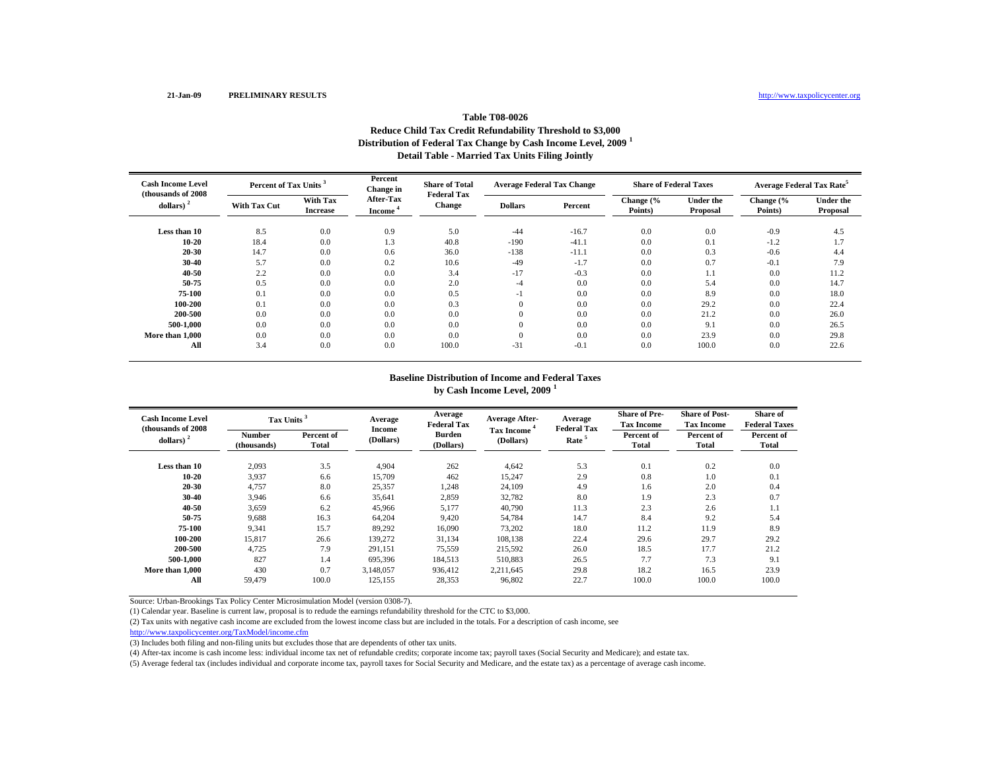## **Table T08-0026Reduce Child Tax Credit Refundability Threshold to \$3,000 Distribution of Federal Tax Change by Cash Income Level, 2009 <sup>1</sup> Detail Table - Married Tax Units Filing Jointly**

| <b>Cash Income Level</b><br>(thousands of 2008) | Percent of Tax Units <sup>3</sup> |                                    | Percent<br>Change in                    | <b>Share of Total</b><br><b>Federal Tax</b> | <b>Average Federal Tax Change</b> |         | <b>Share of Federal Taxes</b> |                              | <b>Average Federal Tax Rate<sup>5</sup></b> |                              |
|-------------------------------------------------|-----------------------------------|------------------------------------|-----------------------------------------|---------------------------------------------|-----------------------------------|---------|-------------------------------|------------------------------|---------------------------------------------|------------------------------|
| dollars) $2$                                    | <b>With Tax Cut</b>               | <b>With Tax</b><br><b>Increase</b> | <b>After-Tax</b><br>Income <sup>'</sup> | <b>Change</b>                               | <b>Dollars</b>                    | Percent | Change (%<br>Points)          | <b>Under the</b><br>Proposal | Change (%<br>Points)                        | <b>Under the</b><br>Proposal |
| Less than 10                                    | 8.5                               | 0.0                                | 0.9                                     | 5.0                                         | $-44$                             | $-16.7$ | 0.0                           | 0.0                          | $-0.9$                                      | 4.5                          |
| 10-20                                           | 18.4                              | 0.0                                | 1.3                                     | 40.8                                        | $-190$                            | $-41.1$ | 0.0                           | 0.1                          | $-1.2$                                      | 1.7                          |
| 20-30                                           | 14.7                              | 0.0                                | 0.6                                     | 36.0                                        | $-138$                            | $-11.1$ | 0.0                           | 0.3                          | $-0.6$                                      | 4.4                          |
| 30-40                                           | 5.7                               | 0.0                                | 0.2                                     | 10.6                                        | $-49$                             | $-1.7$  | 0.0                           | 0.7                          | $-0.1$                                      | 7.9                          |
| 40-50                                           | 2.2                               | 0.0                                | 0.0                                     | 3.4                                         | $-17$                             | $-0.3$  | 0.0                           | 1.1                          | 0.0                                         | 11.2                         |
| 50-75                                           | 0.5                               | 0.0                                | 0.0                                     | 2.0                                         | -4                                | 0.0     | 0.0                           | 5.4                          | 0.0                                         | 14.7                         |
| 75-100                                          | 0.1                               | 0.0                                | 0.0                                     | 0.5                                         | -1                                | 0.0     | 0.0                           | 8.9                          | 0.0                                         | 18.0                         |
| 100-200                                         | 0.1                               | 0.0                                | 0.0                                     | 0.3                                         | $\mathbf{0}$                      | 0.0     | 0.0                           | 29.2                         | 0.0                                         | 22.4                         |
| 200-500                                         | 0.0                               | 0.0                                | 0.0                                     | 0.0                                         | $\mathbf{0}$                      | 0.0     | 0.0                           | 21.2                         | 0.0                                         | 26.0                         |
| 500-1.000                                       | 0.0                               | 0.0                                | 0.0                                     | 0.0                                         | $\mathbf{0}$                      | 0.0     | 0.0                           | 9.1                          | 0.0                                         | 26.5                         |
| More than 1,000                                 | 0.0                               | 0.0                                | 0.0                                     | 0.0                                         | $\Omega$                          | 0.0     | 0.0                           | 23.9                         | 0.0                                         | 29.8                         |
| All                                             | 3.4                               | 0.0                                | 0.0                                     | 100.0                                       | $-31$                             | $-0.1$  | 0.0                           | 100.0                        | 0.0                                         | 22.6                         |

# **Baseline Distribution of Income and Federal Taxes**

**by Cash Income Level, 2009 <sup>1</sup>**

| <b>Cash Income Level</b><br>(thousands of 2008) |                       | Tax Units <sup>3</sup> |                     | Average<br><b>Federal Tax</b> | <b>Average After-</b><br>Tax Income | Average<br><b>Federal Tax</b> | <b>Share of Pre-</b><br><b>Tax Income</b> | <b>Share of Post-</b><br><b>Tax Income</b> | Share of<br><b>Federal Taxes</b> |
|-------------------------------------------------|-----------------------|------------------------|---------------------|-------------------------------|-------------------------------------|-------------------------------|-------------------------------------------|--------------------------------------------|----------------------------------|
| dollars) $2$                                    | Number<br>(thousands) | Percent of<br>Total    | Income<br>(Dollars) | <b>Burden</b><br>(Dollars)    | (Dollars)                           | Rate <sup>5</sup>             | Percent of<br><b>Total</b>                | Percent of<br>Total                        | Percent of<br>Total              |
| Less than 10                                    | 2,093                 | 3.5                    | 4.904               | 262                           | 4,642                               | 5.3                           | 0.1                                       | 0.2                                        | 0.0                              |
| 10-20                                           | 3,937                 | 6.6                    | 15,709              | 462                           | 15,247                              | 2.9                           | 0.8                                       | 1.0                                        | 0.1                              |
| 20-30                                           | 4,757                 | 8.0                    | 25,357              | 1,248                         | 24,109                              | 4.9                           | 1.6                                       | 2.0                                        | 0.4                              |
| 30-40                                           | 3,946                 | 6.6                    | 35,641              | 2,859                         | 32,782                              | 8.0                           | 1.9                                       | 2.3                                        | 0.7                              |
| 40-50                                           | 3,659                 | 6.2                    | 45,966              | 5,177                         | 40,790                              | 11.3                          | 2.3                                       | 2.6                                        | 1.1                              |
| 50-75                                           | 9,688                 | 16.3                   | 64,204              | 9,420                         | 54,784                              | 14.7                          | 8.4                                       | 9.2                                        | 5.4                              |
| 75-100                                          | 9,341                 | 15.7                   | 89,292              | 16,090                        | 73,202                              | 18.0                          | 11.2                                      | 11.9                                       | 8.9                              |
| 100-200                                         | 15,817                | 26.6                   | 139,272             | 31,134                        | 108,138                             | 22.4                          | 29.6                                      | 29.7                                       | 29.2                             |
| 200-500                                         | 4,725                 | 7.9                    | 291,151             | 75,559                        | 215,592                             | 26.0                          | 18.5                                      | 17.7                                       | 21.2                             |
| 500-1.000                                       | 827                   | 1.4                    | 695,396             | 184,513                       | 510,883                             | 26.5                          | 7.7                                       | 7.3                                        | 9.1                              |
| More than 1.000                                 | 430                   | 0.7                    | 3,148,057           | 936,412                       | 2,211,645                           | 29.8                          | 18.2                                      | 16.5                                       | 23.9                             |
| All                                             | 59.479                | 100.0                  | 125,155             | 28,353                        | 96.802                              | 22.7                          | 100.0                                     | 100.0                                      | 100.0                            |

Source: Urban-Brookings Tax Policy Center Microsimulation Model (version 0308-7).

(1) Calendar year. Baseline is current law, proposal is to redude the earnings refundability threshold for the CTC to \$3,000.

(2) Tax units with negative cash income are excluded from the lowest income class but are included in the totals. For a description of cash income, see

http://www.taxpolicycenter.org/TaxModel/income.cfm

(3) Includes both filing and non-filing units but excludes those that are dependents of other tax units.

(4) After-tax income is cash income less: individual income tax net of refundable credits; corporate income tax; payroll taxes (Social Security and Medicare); and estate tax.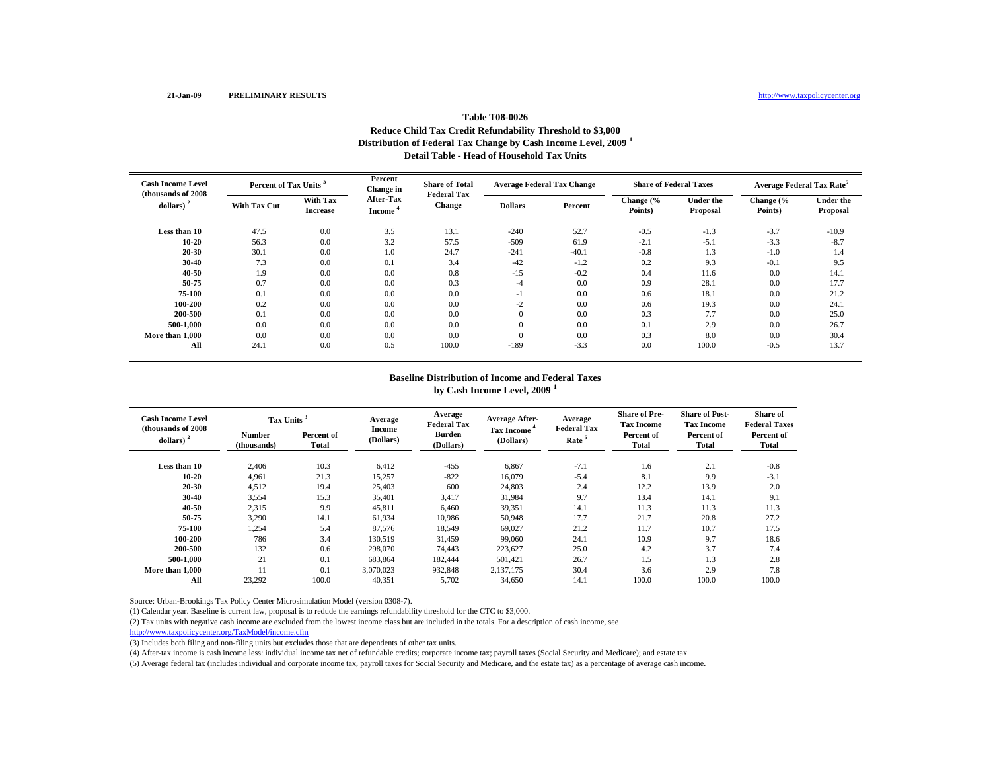### **Table T08-0026Reduce Child Tax Credit Refundability Threshold to \$3,000 Distribution of Federal Tax Change by Cash Income Level, 2009 <sup>1</sup> Detail Table - Head of Household Tax Units**

| <b>Cash Income Level</b><br>(thousands of 2008) | Percent of Tax Units <sup>3</sup> |                                    | Percent<br><b>Change in</b>       | <b>Share of Total</b><br><b>Federal Tax</b> | <b>Average Federal Tax Change</b> |         | <b>Share of Federal Taxes</b> |                              | Average Federal Tax Rate <sup>5</sup> |                              |
|-------------------------------------------------|-----------------------------------|------------------------------------|-----------------------------------|---------------------------------------------|-----------------------------------|---------|-------------------------------|------------------------------|---------------------------------------|------------------------------|
| dollars) $2$                                    | <b>With Tax Cut</b>               | <b>With Tax</b><br><b>Increase</b> | <b>After-Tax</b><br><b>Income</b> | <b>Change</b>                               | <b>Dollars</b>                    | Percent | Change (%<br>Points)          | <b>Under the</b><br>Proposal | Change (%<br>Points)                  | <b>Under the</b><br>Proposal |
| Less than 10                                    | 47.5                              | 0.0                                | 3.5                               | 13.1                                        | $-240$                            | 52.7    | $-0.5$                        | $-1.3$                       | $-3.7$                                | $-10.9$                      |
| 10-20                                           | 56.3                              | 0.0                                | 3.2                               | 57.5                                        | $-509$                            | 61.9    | $-2.1$                        | $-5.1$                       | $-3.3$                                | $-8.7$                       |
| 20-30                                           | 30.1                              | 0.0                                | 1.0                               | 24.7                                        | $-241$                            | $-40.1$ | $-0.8$                        | 1.3                          | $-1.0$                                | 1.4                          |
| 30-40                                           | 7.3                               | 0.0                                | 0.1                               | 3.4                                         | $-42$                             | $-1.2$  | 0.2                           | 9.3                          | $-0.1$                                | 9.5                          |
| 40-50                                           | 1.9                               | 0.0                                | 0.0                               | 0.8                                         | $-15$                             | $-0.2$  | 0.4                           | 11.6                         | 0.0                                   | 14.1                         |
| 50-75                                           | 0.7                               | 0.0                                | 0.0                               | 0.3                                         | -4                                | 0.0     | 0.9                           | 28.1                         | 0.0                                   | 17.7                         |
| 75-100                                          | 0.1                               | 0.0                                | 0.0                               | 0.0                                         | - 1                               | 0.0     | 0.6                           | 18.1                         | 0.0                                   | 21.2                         |
| 100-200                                         | 0.2                               | 0.0                                | 0.0                               | 0.0                                         | $-2$                              | 0.0     | 0.6                           | 19.3                         | 0.0                                   | 24.1                         |
| 200-500                                         | 0.1                               | 0.0                                | 0.0                               | 0.0                                         | $\Omega$                          | 0.0     | 0.3                           | 7.7                          | 0.0                                   | 25.0                         |
| 500-1,000                                       | 0.0                               | 0.0                                | 0.0                               | 0.0                                         | $\theta$                          | 0.0     | 0.1                           | 2.9                          | 0.0                                   | 26.7                         |
| More than 1,000                                 | 0.0                               | 0.0                                | 0.0                               | 0.0                                         | $\Omega$                          | 0.0     | 0.3                           | 8.0                          | 0.0                                   | 30.4                         |
| All                                             | 24.1                              | 0.0                                | 0.5                               | 100.0                                       | $-189$                            | $-3.3$  | 0.0                           | 100.0                        | $-0.5$                                | 13.7                         |

#### **Baseline Distribution of Income and Federal Taxes**

**by Cash Income Level, 2009 <sup>1</sup>**

| <b>Cash Income Level</b><br>(thousands of 2008) |                              | Tax Units <sup>3</sup> |                     | Average<br><b>Federal Tax</b> | <b>Average After-</b>                | Average<br><b>Federal Tax</b> | <b>Share of Pre-</b><br><b>Tax Income</b> | <b>Share of Post-</b><br><b>Tax Income</b> | Share of<br><b>Federal Taxes</b> |
|-------------------------------------------------|------------------------------|------------------------|---------------------|-------------------------------|--------------------------------------|-------------------------------|-------------------------------------------|--------------------------------------------|----------------------------------|
| dollars) $2$                                    | <b>Number</b><br>(thousands) | Percent of<br>Total    | Income<br>(Dollars) | <b>Burden</b><br>(Dollars)    | Tax Income <sup>*</sup><br>(Dollars) | Rate <sup>5</sup>             | Percent of<br><b>Total</b>                | Percent of<br>Total                        | Percent of<br><b>Total</b>       |
| Less than 10                                    | 2,406                        | 10.3                   | 6,412               | $-455$                        | 6,867                                | $-7.1$                        | 1.6                                       | 2.1                                        | $-0.8$                           |
| $10 - 20$                                       | 4,961                        | 21.3                   | 15,257              | $-822$                        | 16,079                               | $-5.4$                        | 8.1                                       | 9.9                                        | $-3.1$                           |
| 20-30                                           | 4,512                        | 19.4                   | 25,403              | 600                           | 24,803                               | 2.4                           | 12.2                                      | 13.9                                       | 2.0                              |
| $30 - 40$                                       | 3,554                        | 15.3                   | 35,401              | 3,417                         | 31,984                               | 9.7                           | 13.4                                      | 14.1                                       | 9.1                              |
| 40-50                                           | 2,315                        | 9.9                    | 45,811              | 6,460                         | 39,351                               | 14.1                          | 11.3                                      | 11.3                                       | 11.3                             |
| 50-75                                           | 3,290                        | 14.1                   | 61,934              | 10,986                        | 50,948                               | 17.7                          | 21.7                                      | 20.8                                       | 27.2                             |
| 75-100                                          | 1,254                        | 5.4                    | 87,576              | 18,549                        | 69,027                               | 21.2                          | 11.7                                      | 10.7                                       | 17.5                             |
| 100-200                                         | 786                          | 3.4                    | 130,519             | 31,459                        | 99,060                               | 24.1                          | 10.9                                      | 9.7                                        | 18.6                             |
| 200-500                                         | 132                          | 0.6                    | 298,070             | 74,443                        | 223,627                              | 25.0                          | 4.2                                       | 3.7                                        | 7.4                              |
| 500-1.000                                       | 21                           | 0.1                    | 683,864             | 182,444                       | 501,421                              | 26.7                          | 1.5                                       | 1.3                                        | 2.8                              |
| More than 1,000                                 | 11                           | 0.1                    | 3,070,023           | 932,848                       | 2.137.175                            | 30.4                          | 3.6                                       | 2.9                                        | 7.8                              |
| All                                             | 23,292                       | 100.0                  | 40,351              | 5,702                         | 34,650                               | 14.1                          | 100.0                                     | 100.0                                      | 100.0                            |

Source: Urban-Brookings Tax Policy Center Microsimulation Model (version 0308-7).

(1) Calendar year. Baseline is current law, proposal is to redude the earnings refundability threshold for the CTC to \$3,000.

(2) Tax units with negative cash income are excluded from the lowest income class but are included in the totals. For a description of cash income, see

http://www.taxpolicycenter.org/TaxModel/income.cfm

(3) Includes both filing and non-filing units but excludes those that are dependents of other tax units.

(4) After-tax income is cash income less: individual income tax net of refundable credits; corporate income tax; payroll taxes (Social Security and Medicare); and estate tax.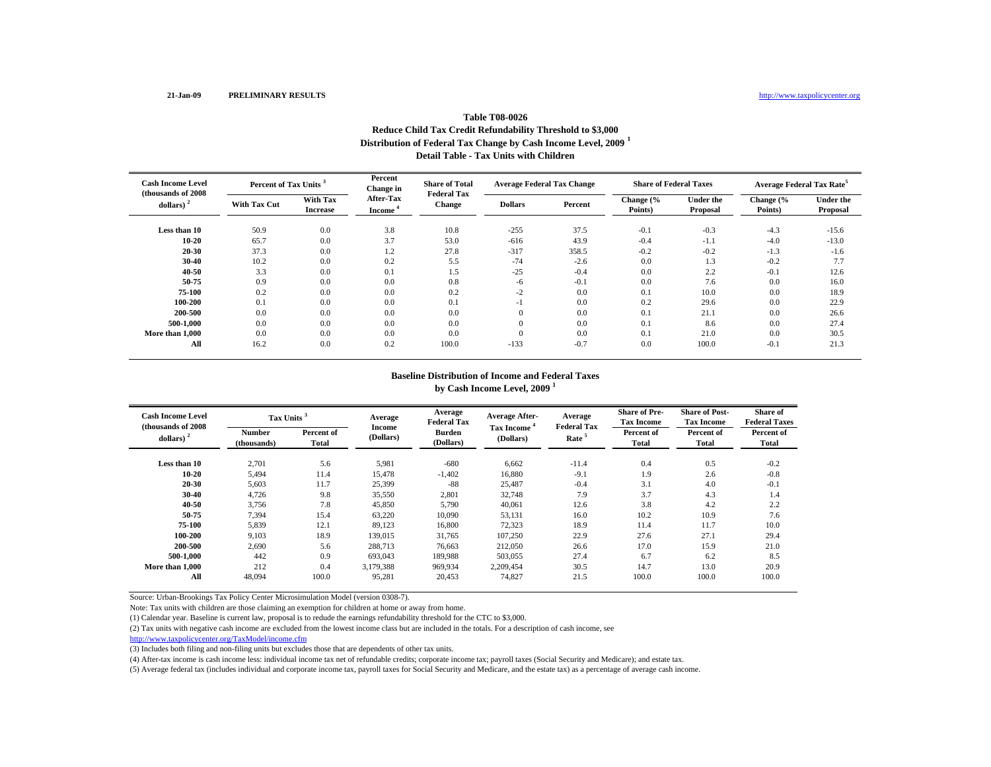### **Table T08-0026Reduce Child Tax Credit Refundability Threshold to \$3,000 Distribution of Federal Tax Change by Cash Income Level, 2009 <sup>1</sup> Detail Table - Tax Units with Children**

| <b>Cash Income Level</b><br>(thousands of 2008) | Percent of Tax Units <sup>3</sup> |                                    | Percent<br>Change in       | <b>Share of Total</b><br><b>Federal Tax</b> | <b>Average Federal Tax Change</b> |         | <b>Share of Federal Taxes</b> |                              | <b>Average Federal Tax Rate<sup>5</sup></b> |                              |
|-------------------------------------------------|-----------------------------------|------------------------------------|----------------------------|---------------------------------------------|-----------------------------------|---------|-------------------------------|------------------------------|---------------------------------------------|------------------------------|
| dollars)                                        | <b>With Tax Cut</b>               | <b>With Tax</b><br><b>Increase</b> | After-Tax<br><b>Income</b> | <b>Change</b>                               | <b>Dollars</b>                    | Percent | Change (%<br>Points)          | <b>Under the</b><br>Proposal | Change (%<br>Points)                        | <b>Under the</b><br>Proposal |
| Less than 10                                    | 50.9                              | 0.0                                | 3.8                        | 10.8                                        | $-255$                            | 37.5    | $-0.1$                        | $-0.3$                       | $-4.3$                                      | $-15.6$                      |
| $10 - 20$                                       | 65.7                              | 0.0                                | 3.7                        | 53.0                                        | $-616$                            | 43.9    | $-0.4$                        | $-1.1$                       | $-4.0$                                      | $-13.0$                      |
| 20-30                                           | 37.3                              | 0.0                                | 1.2                        | 27.8                                        | $-317$                            | 358.5   | $-0.2$                        | $-0.2$                       | $-1.3$                                      | $-1.6$                       |
| 30-40                                           | 10.2                              | 0.0                                | 0.2                        | 5.5                                         | $-74$                             | $-2.6$  | 0.0                           | 1.3                          | $-0.2$                                      | 7.7                          |
| 40-50                                           | 3.3                               | 0.0                                | 0.1                        | 1.5                                         | $-25$                             | $-0.4$  | 0.0                           | 2.2                          | $-0.1$                                      | 12.6                         |
| 50-75                                           | 0.9                               | 0.0                                | 0.0                        | 0.8                                         | -6                                | $-0.1$  | 0.0                           | 7.6                          | 0.0                                         | 16.0                         |
| 75-100                                          | 0.2                               | 0.0                                | 0.0                        | 0.2                                         | $-2$                              | 0.0     | 0.1                           | 10.0                         | 0.0                                         | 18.9                         |
| 100-200                                         | 0.1                               | 0.0                                | 0.0                        | 0.1                                         | - 1                               | 0.0     | 0.2                           | 29.6                         | 0.0                                         | 22.9                         |
| 200-500                                         | 0.0                               | 0.0                                | 0.0                        | 0.0                                         | $\mathbf{0}$                      | 0.0     | 0.1                           | 21.1                         | 0.0                                         | 26.6                         |
| 500-1.000                                       | 0.0                               | 0.0                                | 0.0                        | 0.0                                         | $\theta$                          | 0.0     | 0.1                           | 8.6                          | 0.0                                         | 27.4                         |
| More than 1,000                                 | 0.0                               | 0.0                                | 0.0                        | 0.0                                         | $\Omega$                          | 0.0     | 0.1                           | 21.0                         | 0.0                                         | 30.5                         |
| All                                             | 16.2                              | 0.0                                | 0.2                        | 100.0                                       | $-133$                            | $-0.7$  | 0.0                           | 100.0                        | $-0.1$                                      | 21.3                         |

#### **Baseline Distribution of Income and Federal Taxes by Cash Income Level, 2009 <sup>1</sup>**

| <b>Cash Income Level</b><br>(thousands of 2008) |                       | Tax Units <sup>3</sup> |                     | Average<br><b>Federal Tax</b> | <b>Average After-</b>                | Average<br><b>Federal Tax</b> | <b>Share of Pre-</b><br><b>Tax Income</b> | <b>Share of Post-</b><br><b>Tax Income</b> | Share of<br><b>Federal Taxes</b> |
|-------------------------------------------------|-----------------------|------------------------|---------------------|-------------------------------|--------------------------------------|-------------------------------|-------------------------------------------|--------------------------------------------|----------------------------------|
| dollars) $2$                                    | Number<br>(thousands) | Percent of<br>Total    | Income<br>(Dollars) | <b>Burden</b><br>(Dollars)    | Tax Income <sup>*</sup><br>(Dollars) | Rate <sup>5</sup>             | Percent of<br>Total                       | Percent of<br><b>Total</b>                 | Percent of<br><b>Total</b>       |
| Less than 10                                    | 2,701                 | 5.6                    | 5,981               | $-680$                        | 6,662                                | $-11.4$                       | 0.4                                       | 0.5                                        | $-0.2$                           |
| $10 - 20$                                       | 5,494                 | 11.4                   | 15,478              | $-1,402$                      | 16,880                               | $-9.1$                        | 1.9                                       | 2.6                                        | $-0.8$                           |
| 20-30                                           | 5,603                 | 11.7                   | 25,399              | $-88$                         | 25,487                               | $-0.4$                        | 3.1                                       | 4.0                                        | $-0.1$                           |
| 30-40                                           | 4,726                 | 9.8                    | 35,550              | 2,801                         | 32,748                               | 7.9                           | 3.7                                       | 4.3                                        | 1.4                              |
| 40-50                                           | 3,756                 | 7.8                    | 45,850              | 5,790                         | 40,061                               | 12.6                          | 3.8                                       | 4.2                                        | 2.2                              |
| 50-75                                           | 7.394                 | 15.4                   | 63,220              | 10.090                        | 53,131                               | 16.0                          | 10.2                                      | 10.9                                       | 7.6                              |
| 75-100                                          | 5,839                 | 12.1                   | 89,123              | 16.800                        | 72,323                               | 18.9                          | 11.4                                      | 11.7                                       | 10.0                             |
| 100-200                                         | 9,103                 | 18.9                   | 139,015             | 31,765                        | 107,250                              | 22.9                          | 27.6                                      | 27.1                                       | 29.4                             |
| 200-500                                         | 2,690                 | 5.6                    | 288,713             | 76.663                        | 212,050                              | 26.6                          | 17.0                                      | 15.9                                       | 21.0                             |
| 500-1.000                                       | 442                   | 0.9                    | 693,043             | 189,988                       | 503,055                              | 27.4                          | 6.7                                       | 6.2                                        | 8.5                              |
| More than 1.000                                 | 212                   | 0.4                    | 3,179,388           | 969,934                       | 2,209,454                            | 30.5                          | 14.7                                      | 13.0                                       | 20.9                             |
| All                                             | 48,094                | 100.0                  | 95,281              | 20,453                        | 74,827                               | 21.5                          | 100.0                                     | 100.0                                      | 100.0                            |

Source: Urban-Brookings Tax Policy Center Microsimulation Model (version 0308-7).

Note: Tax units with children are those claiming an exemption for children at home or away from home.

(1) Calendar year. Baseline is current law, proposal is to redude the earnings refundability threshold for the CTC to \$3,000.

(2) Tax units with negative cash income are excluded from the lowest income class but are included in the totals. For a description of cash income, see

http://www.taxpolicycenter.org/TaxModel/income.cfm

(3) Includes both filing and non-filing units but excludes those that are dependents of other tax units.

(4) After-tax income is cash income less: individual income tax net of refundable credits; corporate income tax; payroll taxes (Social Security and Medicare); and estate tax.